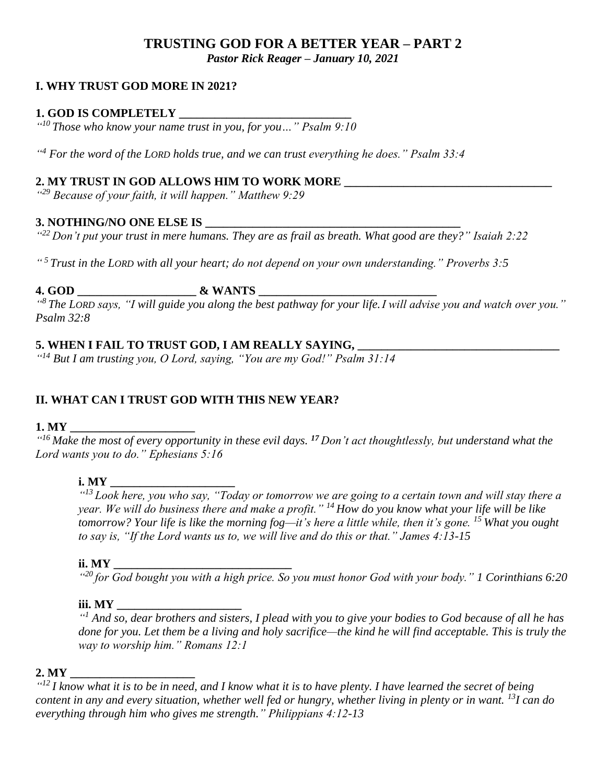## **TRUSTING GOD FOR A BETTER YEAR – PART 2** *Pastor Rick Reager – January 10, 2021*

## **I. WHY TRUST GOD MORE IN 2021?**

## **1. GOD IS COMPLETELY \_\_\_\_\_\_\_\_\_\_\_\_\_\_\_\_\_\_\_\_\_\_\_\_\_\_\_\_\_**

*" <sup>10</sup> Those who know your name trust in you, for you…" Psalm 9:10*

*" <sup>4</sup> For the word of the LORD holds true, and we can trust everything he does." Psalm 33:4*

#### **2. MY TRUST IN GOD ALLOWS HIM TO WORK MORE \_\_\_\_\_\_\_\_\_\_\_\_\_\_\_\_\_\_\_\_\_\_\_\_\_\_\_\_\_\_\_\_\_\_\_**

*" <sup>29</sup> Because of your faith, it will happen." Matthew 9:29*

#### **3. NOTHING/NO ONE ELSE IS**

*" <sup>22</sup> Don't put your trust in mere humans. They are as frail as breath. What good are they?" Isaiah 2:22*

*" <sup>5</sup>Trust in the LORD with all your heart; do not depend on your own understanding." Proverbs 3:5*

## **4. GOD \_\_\_\_\_\_\_\_\_\_\_\_\_\_\_\_\_\_\_\_ & WANTS \_\_\_\_\_\_\_\_\_\_\_\_\_\_\_\_\_\_\_\_\_\_\_\_\_\_\_\_\_\_**

*" <sup>8</sup> The LORD says, "I will guide you along the best pathway for your life.I will advise you and watch over you." Psalm 32:8*

## **5. WHEN I FAIL TO TRUST GOD, I AM REALLY SAYING, \_\_\_\_\_\_\_\_\_\_\_\_\_\_\_\_\_\_\_\_\_\_\_\_\_\_\_\_\_\_\_\_\_\_**

*" <sup>14</sup> But I am trusting you, O Lord, saying, "You are my God!" Psalm 31:14*

## **II. WHAT CAN I TRUST GOD WITH THIS NEW YEAR?**

#### **1. MY \_\_\_\_\_\_\_\_\_\_\_\_\_\_\_\_\_\_\_\_\_**

*" <sup>16</sup> Make the most of every opportunity in these evil days. <sup>17</sup> Don't act thoughtlessly, but understand what the Lord wants you to do." Ephesians 5:16*

#### **i.** MY

*" <sup>13</sup> Look here, you who say, "Today or tomorrow we are going to a certain town and will stay there a year. We will do business there and make a profit." <sup>14</sup> How do you know what your life will be like tomorrow? Your life is like the morning fog—it's here a little while, then it's gone. <sup>15</sup> What you ought to say is, "If the Lord wants us to, we will live and do this or that." James 4:13-15*

#### **ii. MY**

*" <sup>20</sup> for God bought you with a high price. So you must honor God with your body." 1 Corinthians 6:20*

#### **iii. MY \_\_\_\_\_\_\_\_\_\_\_\_\_\_\_\_\_\_\_\_\_**

*" <sup>1</sup> And so, dear brothers and sisters, I plead with you to give your bodies to God because of all he has done for you. Let them be a living and holy sacrifice—the kind he will find acceptable. This is truly the way to worship him." Romans 12:1*

#### **2. MY \_\_\_\_\_\_\_\_\_\_\_\_\_\_\_\_\_\_\_\_\_**

*" <sup>12</sup> I know what it is to be in need, and I know what it is to have plenty. I have learned the secret of being content in any and every situation, whether well fed or hungry, whether living in plenty or in want. <sup>13</sup>I can do everything through him who gives me strength." Philippians 4:12-13*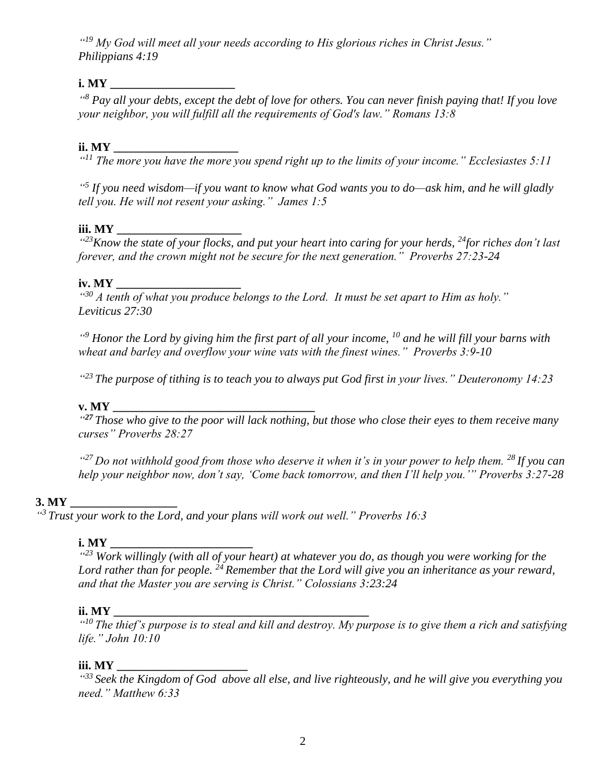*" <sup>19</sup> My God will meet all your needs according to His glorious riches in Christ Jesus." Philippians 4:19*

## **i. MY \_\_\_\_\_\_\_\_\_\_\_\_\_\_\_\_\_\_\_\_\_**

*" <sup>8</sup> Pay all your debts, except the debt of love for others. You can never finish paying that! If you love your neighbor, you will fulfill all the requirements of God's law." Romans 13:8*

## **ii. MY \_\_\_\_\_\_\_\_\_\_\_\_\_\_\_\_\_\_\_\_\_**

*" <sup>11</sup> The more you have the more you spend right up to the limits of your income." Ecclesiastes 5:11* 

*" 5 If you need wisdom—if you want to know what God wants you to do—ask him, and he will gladly tell you. He will not resent your asking." James 1:5* 

## **iii. MY \_\_\_\_\_\_\_\_\_\_\_\_\_\_\_\_\_\_\_\_\_**

*" <sup>23</sup>Know the state of your flocks, and put your heart into caring for your herds, <sup>24</sup>for riches don't last forever, and the crown might not be secure for the next generation." Proverbs 27:23-24*

#### **iv. MY \_\_\_\_\_\_\_\_\_\_\_\_\_\_\_\_\_\_\_\_\_**

*" <sup>30</sup> A tenth of what you produce belongs to the Lord. It must be set apart to Him as holy." Leviticus 27:30*

*" <sup>9</sup> Honor the Lord by giving him the first part of all your income, <sup>10</sup> and he will fill your barns with wheat and barley and overflow your wine vats with the finest wines." Proverbs 3:9-10* 

*" <sup>23</sup>The purpose of tithing is to teach you to always put God first in your lives." Deuteronomy 14:23*

## **v. MY \_\_\_\_\_\_\_\_\_\_\_\_\_\_\_\_\_\_\_\_\_\_\_\_\_\_\_\_\_\_\_\_\_\_**

*" <sup>27</sup> Those who give to the poor will lack nothing, but those who close their eyes to them receive many curses" Proverbs 28:27*

*" <sup>27</sup>Do not withhold good from those who deserve it when it's in your power to help them. <sup>28</sup>If you can help your neighbor now, don't say, 'Come back tomorrow, and then I'll help you.'" Proverbs 3:27-28*

## 3. MY

*" <sup>3</sup> Trust your work to the Lord, and your plans will work out well." Proverbs 16:3*

#### **i. MY**

*" <sup>23</sup> Work willingly (with all of your heart) at whatever you do, as though you were working for the Lord rather than for people. <sup>24</sup> Remember that the Lord will give you an inheritance as your reward, and that the Master you are serving is Christ." Colossians 3:23:24*

## **ii. MY \_\_\_\_\_\_\_\_\_\_\_\_\_\_\_\_\_\_\_\_\_\_\_\_\_\_\_\_\_\_\_\_\_\_\_\_\_\_\_\_\_\_\_**

*" <sup>10</sup> The thief's purpose is to steal and kill and destroy. My purpose is to give them a rich and satisfying life." John 10:10*

## **iii. MY \_\_\_\_\_\_\_\_\_\_\_\_\_\_\_\_\_\_\_\_\_\_**

*" <sup>33</sup> Seek the Kingdom of God above all else, and live righteously, and he will give you everything you need." Matthew 6:33*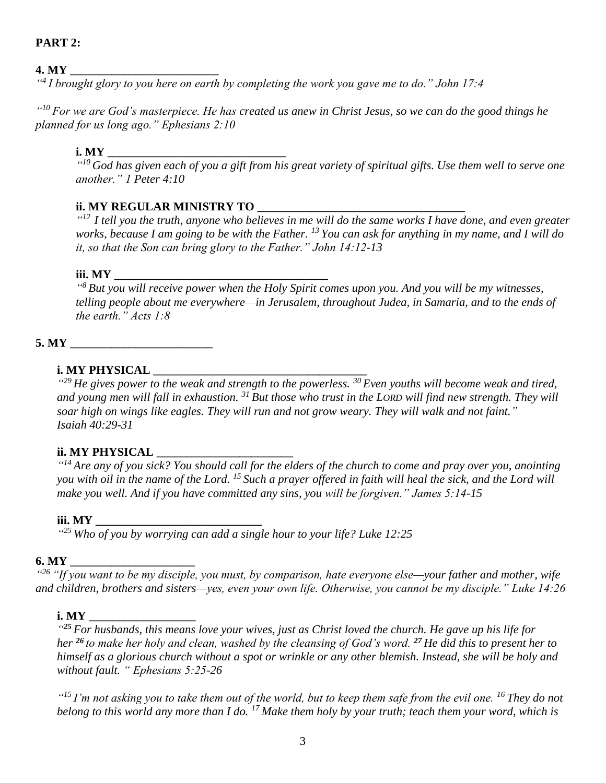## **PART 2:**

## **4. MY \_\_\_\_\_\_\_\_\_\_\_\_\_\_\_\_\_\_\_\_\_\_\_\_\_**

*" 4 I brought glory to you here on earth by completing the work you gave me to do." John 17:4*

*" <sup>10</sup> For we are God's masterpiece. He has created us anew in Christ Jesus, so we can do the good things he planned for us long ago." Ephesians 2:10*

#### **i.** MY

*" <sup>10</sup> God has given each of you a gift from his great variety of spiritual gifts. Use them well to serve one another." 1 Peter 4:10*

#### **ii. MY REGULAR MINISTRY TO \_\_\_\_\_\_\_**

*" 12 I tell you the truth, anyone who believes in me will do the same works I have done, and even greater works, because I am going to be with the Father. <sup>13</sup> You can ask for anything in my name, and I will do it, so that the Son can bring glory to the Father." John 14:12-13*

#### **iii.** MY

*" <sup>8</sup> But you will receive power when the Holy Spirit comes upon you. And you will be my witnesses, telling people about me everywhere—in Jerusalem, throughout Judea, in Samaria, and to the ends of the earth." Acts 1:8*

**5. MY \_\_\_\_\_\_\_\_\_\_\_\_\_\_\_\_\_\_\_\_\_\_\_\_**

## **i. MY PHYSICAL \_\_\_\_\_\_\_\_\_\_\_\_\_\_\_\_\_\_\_\_\_\_\_\_\_\_\_\_\_\_\_\_\_\_\_\_**

*" <sup>29</sup> He gives power to the weak and strength to the powerless. <sup>30</sup> Even youths will become weak and tired, and young men will fall in exhaustion. <sup>31</sup> But those who trust in the LORD will find new strength. They will soar high on wings like eagles. They will run and not grow weary. They will walk and not faint." Isaiah 40:29-31*

#### **ii. MY PHYSICAL \_\_\_\_\_\_\_\_\_\_\_\_\_\_\_\_\_\_\_\_\_\_\_**

*" <sup>14</sup> Are any of you sick? You should call for the elders of the church to come and pray over you, anointing you with oil in the name of the Lord. <sup>15</sup> Such a prayer offered in faith will heal the sick, and the Lord will make you well. And if you have committed any sins, you will be forgiven." James 5:14-15*

#### **iii. MY \_\_\_\_\_\_\_\_\_\_\_\_\_\_\_\_\_\_\_\_\_\_\_\_\_\_\_\_**

*" <sup>25</sup> Who of you by worrying can add a single hour to your life? Luke 12:25*

#### **6. MY \_\_\_\_\_\_\_\_\_\_\_\_\_\_\_\_\_\_\_\_\_**

*" <sup>26</sup> "If you want to be my disciple, you must, by comparison, hate everyone else—your father and mother, wife and children, brothers and sisters—yes, even your own life. Otherwise, you cannot be my disciple." Luke 14:26*

#### **i. MY \_\_\_\_\_\_\_\_\_\_\_\_\_\_\_\_\_\_**

*" <sup>25</sup> For husbands, this means love your wives, just as Christ loved the church. He gave up his life for her <sup>26</sup> to make her holy and clean, washed by the cleansing of God's word. <sup>27</sup> He did this to present her to himself as a glorious church without a spot or wrinkle or any other blemish. Instead, she will be holy and without fault. " Ephesians 5:25-26*

*" <sup>15</sup> I'm not asking you to take them out of the world, but to keep them safe from the evil one. <sup>16</sup> They do not belong to this world any more than I do. <sup>17</sup> Make them holy by your truth; teach them your word, which is*